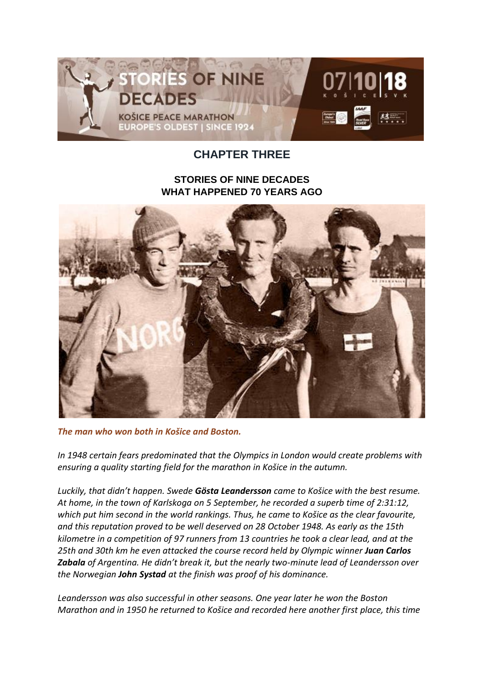

## **CHAPTER THREE**

## **STORIES OF NINE DECADES WHAT HAPPENED 70 YEARS AGO**



*The man who won both in Košice and Boston.*

*In 1948 certain fears predominated that the Olympics in London would create problems with ensuring a quality starting field for the marathon in Košice in the autumn.*

*Luckily, that didn't happen. Swede Gösta Leandersson came to Košice with the best resume. At home, in the town of Karlskoga on 5 September, he recorded a superb time of 2:31:12, which put him second in the world rankings. Thus, he came to Košice as the clear favourite, and this reputation proved to be well deserved on 28 October 1948. As early as the 15th kilometre in a competition of 97 runners from 13 countries he took a clear lead, and at the 25th and 30th km he even attacked the course record held by Olympic winner Juan Carlos Zabala of Argentina. He didn't break it, but the nearly two-minute lead of Leandersson over the Norwegian John Systad at the finish was proof of his dominance.*

*Leandersson was also successful in other seasons. One year later he won the Boston Marathon and in 1950 he returned to Košice and recorded here another first place, this time*